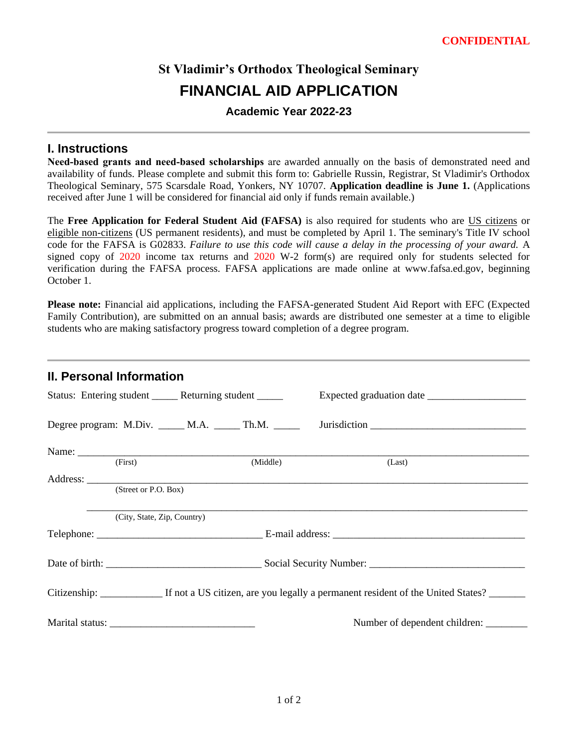## **St Vladimir's Orthodox Theological Seminary FINANCIAL AID APPLICATION**

**Academic Year 2022-23**

## **I. Instructions**

**Need-based grants and need-based scholarships** are awarded annually on the basis of demonstrated need and availability of funds. Please complete and submit this form to: Gabrielle Russin, Registrar, St Vladimir's Orthodox Theological Seminary, 575 Scarsdale Road, Yonkers, NY 10707. **Application deadline is June 1.** (Applications received after June 1 will be considered for financial aid only if funds remain available.)

The **Free Application for Federal Student Aid (FAFSA)** is also required for students who are US citizens or eligible non-citizens (US permanent residents), and must be completed by April 1. The seminary's Title IV school code for the FAFSA is G02833. *Failure to use this code will cause a delay in the processing of your award.* A signed copy of 2020 income tax returns and 2020 W-2 form(s) are required only for students selected for verification during the FAFSA process. FAFSA applications are made online at www.fafsa.ed.gov, beginning October 1.

**Please note:** Financial aid applications, including the FAFSA-generated Student Aid Report with EFC (Expected Family Contribution), are submitted on an annual basis; awards are distributed one semester at a time to eligible students who are making satisfactory progress toward completion of a degree program.

| <b>II. Personal Information</b>                           |          |                               |  |
|-----------------------------------------------------------|----------|-------------------------------|--|
| Status: Entering student _______ Returning student ______ |          |                               |  |
| Degree program: M.Div. _____ M.A. _____ Th.M. _____       |          |                               |  |
|                                                           |          |                               |  |
| (First)                                                   | (Middle) | (Last)                        |  |
| (Street or P.O. Box)                                      |          |                               |  |
| (City, State, Zip, Country)                               |          |                               |  |
|                                                           |          |                               |  |
|                                                           |          |                               |  |
|                                                           |          |                               |  |
|                                                           |          | Number of dependent children: |  |